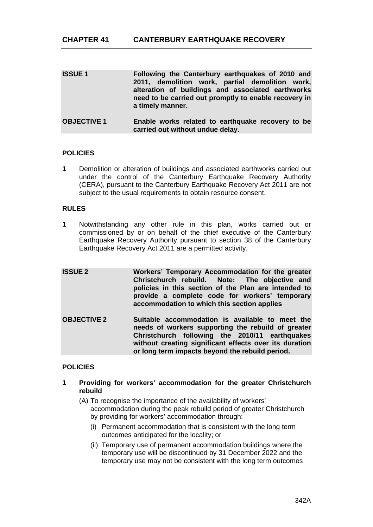| <b>ISSUE1</b>      | Following the Canterbury earthquakes of 2010 and<br>2011, demolition work, partial demolition work,<br>alteration of buildings and associated earthworks<br>need to be carried out promptly to enable recovery in<br>a timely manner. |
|--------------------|---------------------------------------------------------------------------------------------------------------------------------------------------------------------------------------------------------------------------------------|
| <b>OBJECTIVE 1</b> | Enable works related to earthquake recovery to be<br>carried out without undue delay.                                                                                                                                                 |

# **POLICIES**

**1** Demolition or alteration of buildings and associated earthworks carried out under the control of the Canterbury Earthquake Recovery Authority (CERA), pursuant to the Canterbury Earthquake Recovery Act 2011 are not subject to the usual requirements to obtain resource consent.

# **RULES**

- **1** Notwithstanding any other rule in this plan, works carried out or commissioned by or on behalf of the chief executive of the Canterbury Earthquake Recovery Authority pursuant to section 38 of the Canterbury Earthquake Recovery Act 2011 are a permitted activity.
- **ISSUE 2 Workers' Temporary Accommodation for the greater Christchurch rebuild. Note: The objective and policies in this section of the Plan are intended to provide a complete code for workers' temporary accommodation to which this section applies OBJECTIVE 2 Suitable accommodation is available to meet the needs of workers supporting the rebuild of greater Christchurch following the 2010/11 earthquakes without creating significant effects over its duration or long term impacts beyond the rebuild period.**

# **POLICIES**

- **1 Providing for workers' accommodation for the greater Christchurch rebuild** 
	- (A) To recognise the importance of the availability of workers' accommodation during the peak rebuild period of greater Christchurch by providing for workers' accommodation through:
		- (i) Permanent accommodation that is consistent with the long term outcomes anticipated for the locality; or
		- (ii) Temporary use of permanent accommodation buildings where the temporary use will be discontinued by 31 December 2022 and the temporary use may not be consistent with the long term outcomes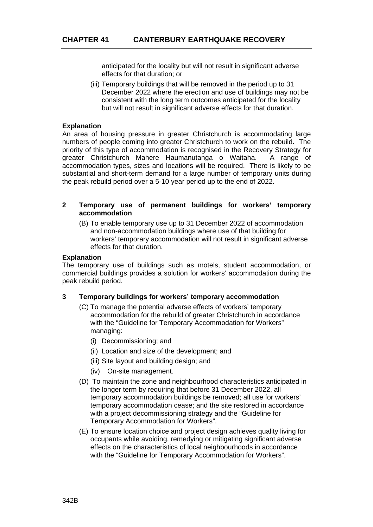anticipated for the locality but will not result in significant adverse effects for that duration; or

(iii) Temporary buildings that will be removed in the period up to 31 December 2022 where the erection and use of buildings may not be consistent with the long term outcomes anticipated for the locality but will not result in significant adverse effects for that duration.

## **Explanation**

An area of housing pressure in greater Christchurch is accommodating large numbers of people coming into greater Christchurch to work on the rebuild. The priority of this type of accommodation is recognised in the Recovery Strategy for greater Christchurch Mahere Haumanutanga o Waitaha. A range of accommodation types, sizes and locations will be required. There is likely to be substantial and short-term demand for a large number of temporary units during the peak rebuild period over a 5-10 year period up to the end of 2022.

## **2 Temporary use of permanent buildings for workers' temporary accommodation**

(B) To enable temporary use up to 31 December 2022 of accommodation and non-accommodation buildings where use of that building for workers' temporary accommodation will not result in significant adverse effects for that duration.

## **Explanation**

The temporary use of buildings such as motels, student accommodation, or commercial buildings provides a solution for workers' accommodation during the peak rebuild period.

#### **3 Temporary buildings for workers' temporary accommodation**

- (C) To manage the potential adverse effects of workers' temporary accommodation for the rebuild of greater Christchurch in accordance with the "Guideline for Temporary Accommodation for Workers" managing:
	- (i) Decommissioning; and
	- (ii) Location and size of the development; and
	- (iii) Site layout and building design; and
	- (iv) On-site management.
- (D) To maintain the zone and neighbourhood characteristics anticipated in the longer term by requiring that before 31 December 2022, all temporary accommodation buildings be removed; all use for workers' temporary accommodation cease; and the site restored in accordance with a project decommissioning strategy and the "Guideline for Temporary Accommodation for Workers".
- (E) To ensure location choice and project design achieves quality living for occupants while avoiding, remedying or mitigating significant adverse effects on the characteristics of local neighbourhoods in accordance with the "Guideline for Temporary Accommodation for Workers".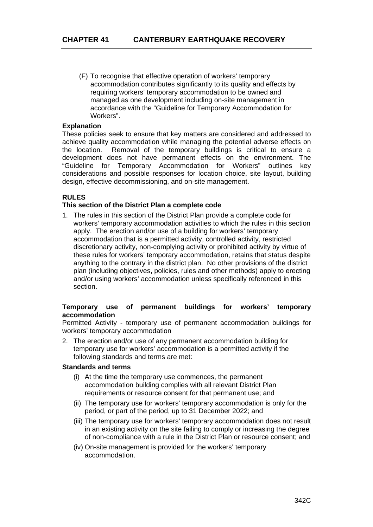(F) To recognise that effective operation of workers' temporary accommodation contributes significantly to its quality and effects by requiring workers' temporary accommodation to be owned and managed as one development including on-site management in accordance with the "Guideline for Temporary Accommodation for Workers".

## **Explanation**

These policies seek to ensure that key matters are considered and addressed to achieve quality accommodation while managing the potential adverse effects on the location. Removal of the temporary buildings is critical to ensure a development does not have permanent effects on the environment. The "Guideline for Temporary Accommodation for Workers" outlines key considerations and possible responses for location choice, site layout, building design, effective decommissioning, and on-site management.

## **RULES**

# **This section of the District Plan a complete code**

1. The rules in this section of the District Plan provide a complete code for workers' temporary accommodation activities to which the rules in this section apply. The erection and/or use of a building for workers' temporary accommodation that is a permitted activity, controlled activity, restricted discretionary activity, non-complying activity or prohibited activity by virtue of these rules for workers' temporary accommodation, retains that status despite anything to the contrary in the district plan. No other provisions of the district plan (including objectives, policies, rules and other methods) apply to erecting and/or using workers' accommodation unless specifically referenced in this section.

## **Temporary use of permanent buildings for workers' temporary accommodation**

Permitted Activity - temporary use of permanent accommodation buildings for workers' temporary accommodation

2. The erection and/or use of any permanent accommodation building for temporary use for workers' accommodation is a permitted activity if the following standards and terms are met:

#### **Standards and terms**

- (i) At the time the temporary use commences, the permanent accommodation building complies with all relevant District Plan requirements or resource consent for that permanent use; and
- (ii) The temporary use for workers' temporary accommodation is only for the period, or part of the period, up to 31 December 2022; and
- (iii) The temporary use for workers' temporary accommodation does not result in an existing activity on the site failing to comply or increasing the degree of non-compliance with a rule in the District Plan or resource consent; and
- (iv) On-site management is provided for the workers' temporary accommodation.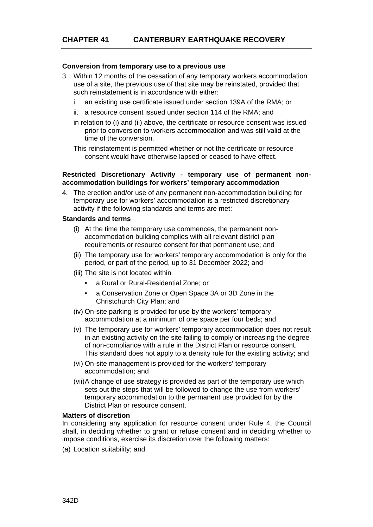## **Conversion from temporary use to a previous use**

- 3. Within 12 months of the cessation of any temporary workers accommodation use of a site, the previous use of that site may be reinstated, provided that such reinstatement is in accordance with either:
	- i. an existing use certificate issued under section 139A of the RMA; or
	- ii. a resource consent issued under section 114 of the RMA; and
	- in relation to (i) and (ii) above, the certificate or resource consent was issued prior to conversion to workers accommodation and was still valid at the time of the conversion.

This reinstatement is permitted whether or not the certificate or resource consent would have otherwise lapsed or ceased to have effect.

#### **Restricted Discretionary Activity - temporary use of permanent nonaccommodation buildings for workers' temporary accommodation**

4. The erection and/or use of any permanent non-accommodation building for temporary use for workers' accommodation is a restricted discretionary activity if the following standards and terms are met:

#### **Standards and terms**

- (i) At the time the temporary use commences, the permanent nonaccommodation building complies with all relevant district plan requirements or resource consent for that permanent use; and
- (ii) The temporary use for workers' temporary accommodation is only for the period, or part of the period, up to 31 December 2022; and
- (iii) The site is not located within
	- a Rural or Rural-Residential Zone; or
	- a Conservation Zone or Open Space 3A or 3D Zone in the Christchurch City Plan; and
- (iv) On-site parking is provided for use by the workers' temporary accommodation at a minimum of one space per four beds; and
- (v) The temporary use for workers' temporary accommodation does not result in an existing activity on the site failing to comply or increasing the degree of non-compliance with a rule in the District Plan or resource consent. This standard does not apply to a density rule for the existing activity; and
- (vi) On-site management is provided for the workers' temporary accommodation; and
- (vii) A change of use strategy is provided as part of the temporary use which sets out the steps that will be followed to change the use from workers' temporary accommodation to the permanent use provided for by the District Plan or resource consent.

#### **Matters of discretion**

In considering any application for resource consent under Rule 4, the Council shall, in deciding whether to grant or refuse consent and in deciding whether to impose conditions, exercise its discretion over the following matters:

(a) Location suitability; and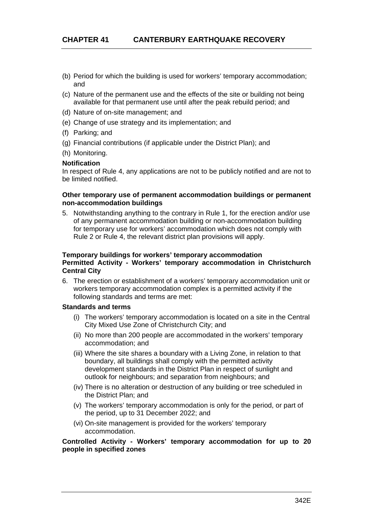- (b) Period for which the building is used for workers' temporary accommodation; and
- (c) Nature of the permanent use and the effects of the site or building not being available for that permanent use until after the peak rebuild period; and
- (d) Nature of on-site management; and
- (e) Change of use strategy and its implementation; and
- (f) Parking; and
- (g) Financial contributions (if applicable under the District Plan); and
- (h) Monitoring.

#### **Notification**

In respect of Rule 4, any applications are not to be publicly notified and are not to be limited notified.

#### **Other temporary use of permanent accommodation buildings or permanent non-accommodation buildings**

5. Notwithstanding anything to the contrary in Rule 1, for the erection and/or use of any permanent accommodation building or non-accommodation building for temporary use for workers' accommodation which does not comply with Rule 2 or Rule 4, the relevant district plan provisions will apply.

## **Temporary buildings for workers' temporary accommodation Permitted Activity - Workers' temporary accommodation in Christchurch Central City**

6. The erection or establishment of a workers' temporary accommodation unit or workers temporary accommodation complex is a permitted activity if the following standards and terms are met:

## **Standards and terms**

- (i) The workers' temporary accommodation is located on a site in the Central City Mixed Use Zone of Christchurch City; and
- (ii) No more than 200 people are accommodated in the workers' temporary accommodation; and
- (iii) Where the site shares a boundary with a Living Zone, in relation to that boundary, all buildings shall comply with the permitted activity development standards in the District Plan in respect of sunlight and outlook for neighbours; and separation from neighbours; and
- (iv) There is no alteration or destruction of any building or tree scheduled in the District Plan; and
- (v) The workers' temporary accommodation is only for the period, or part of the period, up to 31 December 2022; and
- (vi) On-site management is provided for the workers' temporary accommodation.

## **Controlled Activity - Workers' temporary accommodation for up to 20 people in specified zones**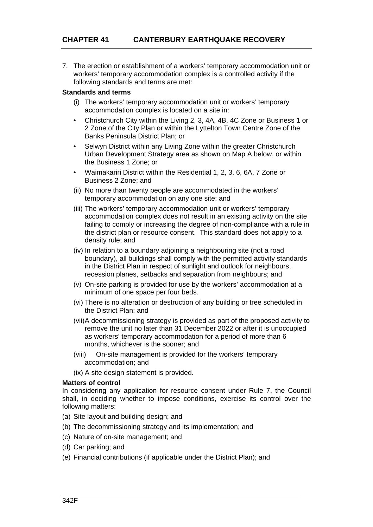7. The erection or establishment of a workers' temporary accommodation unit or workers' temporary accommodation complex is a controlled activity if the following standards and terms are met:

# **Standards and terms**

- (i) The workers' temporary accommodation unit or workers' temporary accommodation complex is located on a site in:
- Christchurch City within the Living 2, 3, 4A, 4B, 4C Zone or Business 1 or 2 Zone of the City Plan or within the Lyttelton Town Centre Zone of the Banks Peninsula District Plan; or
- Selwyn District within any Living Zone within the greater Christchurch Urban Development Strategy area as shown on Map A below, or within the Business 1 Zone; or
- Waimakariri District within the Residential 1, 2, 3, 6, 6A, 7 Zone or Business 2 Zone; and
- (ii) No more than twenty people are accommodated in the workers' temporary accommodation on any one site; and
- (iii) The workers' temporary accommodation unit or workers' temporary accommodation complex does not result in an existing activity on the site failing to comply or increasing the degree of non-compliance with a rule in the district plan or resource consent. This standard does not apply to a density rule; and
- (iv) In relation to a boundary adjoining a neighbouring site (not a road boundary), all buildings shall comply with the permitted activity standards in the District Plan in respect of sunlight and outlook for neighbours, recession planes, setbacks and separation from neighbours; and
- (v) On-site parking is provided for use by the workers' accommodation at a minimum of one space per four beds.
- (vi) There is no alteration or destruction of any building or tree scheduled in the District Plan; and
- (vii) A decommissioning strategy is provided as part of the proposed activity to remove the unit no later than 31 December 2022 or after it is unoccupied as workers' temporary accommodation for a period of more than 6 months, whichever is the sooner; and
- (viii) On-site management is provided for the workers' temporary accommodation; and
- (ix) A site design statement is provided.

# **Matters of control**

In considering any application for resource consent under Rule 7, the Council shall, in deciding whether to impose conditions, exercise its control over the following matters:

- (a) Site layout and building design; and
- (b) The decommissioning strategy and its implementation; and
- (c) Nature of on-site management; and
- (d) Car parking; and
- (e) Financial contributions (if applicable under the District Plan); and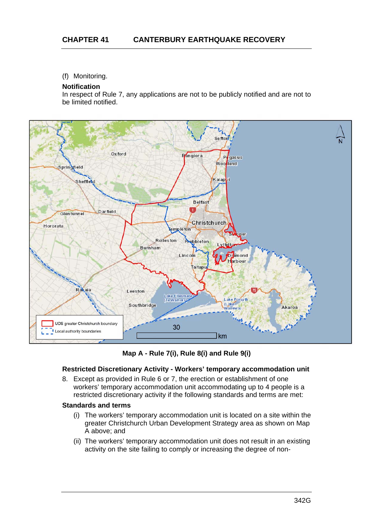# (f) Monitoring.

## **Notification**

In respect of Rule 7, any applications are not to be publicly notified and are not to be limited notified.



**Map A - Rule 7(i), Rule 8(i) and Rule 9(i)** 

# **Restricted Discretionary Activity - Workers' temporary accommodation unit**

8. Except as provided in Rule 6 or 7, the erection or establishment of one workers' temporary accommodation unit accommodating up to 4 people is a restricted discretionary activity if the following standards and terms are met:

#### **Standards and terms**

- (i) The workers' temporary accommodation unit is located on a site within the greater Christchurch Urban Development Strategy area as shown on Map A above; and
- (ii) The workers' temporary accommodation unit does not result in an existing activity on the site failing to comply or increasing the degree of non-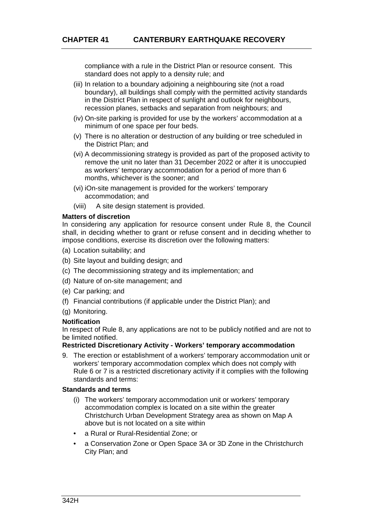compliance with a rule in the District Plan or resource consent. This standard does not apply to a density rule; and

- (iii) In relation to a boundary adjoining a neighbouring site (not a road boundary), all buildings shall comply with the permitted activity standards in the District Plan in respect of sunlight and outlook for neighbours, recession planes, setbacks and separation from neighbours; and
- (iv) On-site parking is provided for use by the workers' accommodation at a minimum of one space per four beds.
- (v) There is no alteration or destruction of any building or tree scheduled in the District Plan; and
- (vi) A decommissioning strategy is provided as part of the proposed activity to remove the unit no later than 31 December 2022 or after it is unoccupied as workers' temporary accommodation for a period of more than 6 months, whichever is the sooner; and
- (vi) iOn-site management is provided for the workers' temporary accommodation; and
- (viii) A site design statement is provided.

## **Matters of discretion**

In considering any application for resource consent under Rule 8, the Council shall, in deciding whether to grant or refuse consent and in deciding whether to impose conditions, exercise its discretion over the following matters:

- (a) Location suitability; and
- (b) Site layout and building design; and
- (c) The decommissioning strategy and its implementation; and
- (d) Nature of on-site management; and
- (e) Car parking; and
- (f) Financial contributions (if applicable under the District Plan); and
- (g) Monitoring.

#### **Notification**

In respect of Rule 8, any applications are not to be publicly notified and are not to be limited notified.

# **Restricted Discretionary Activity - Workers' temporary accommodation**

9. The erection or establishment of a workers' temporary accommodation unit or workers' temporary accommodation complex which does not comply with Rule 6 or 7 is a restricted discretionary activity if it complies with the following standards and terms:

#### **Standards and terms**

- (i) The workers' temporary accommodation unit or workers' temporary accommodation complex is located on a site within the greater Christchurch Urban Development Strategy area as shown on Map A above but is not located on a site within
- a Rural or Rural-Residential Zone; or
- a Conservation Zone or Open Space 3A or 3D Zone in the Christchurch City Plan; and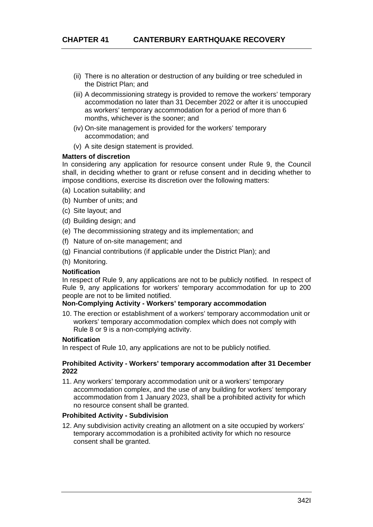- (ii) There is no alteration or destruction of any building or tree scheduled in the District Plan; and
- (iii) A decommissioning strategy is provided to remove the workers' temporary accommodation no later than 31 December 2022 or after it is unoccupied as workers' temporary accommodation for a period of more than 6 months, whichever is the sooner; and
- (iv) On-site management is provided for the workers' temporary accommodation; and
- (v) A site design statement is provided.

## **Matters of discretion**

In considering any application for resource consent under Rule 9, the Council shall, in deciding whether to grant or refuse consent and in deciding whether to impose conditions, exercise its discretion over the following matters:

- (a) Location suitability; and
- (b) Number of units; and
- (c) Site layout; and
- (d) Building design; and
- (e) The decommissioning strategy and its implementation; and
- (f) Nature of on-site management; and
- (g) Financial contributions (if applicable under the District Plan); and
- (h) Monitoring.

### **Notification**

In respect of Rule 9, any applications are not to be publicly notified. In respect of Rule 9, any applications for workers' temporary accommodation for up to 200 people are not to be limited notified.

## **Non-Complying Activity - Workers' temporary accommodation**

10. The erection or establishment of a workers' temporary accommodation unit or workers' temporary accommodation complex which does not comply with Rule 8 or 9 is a non-complying activity.

#### **Notification**

In respect of Rule 10, any applications are not to be publicly notified.

#### **Prohibited Activity - Workers' temporary accommodation after 31 December 2022**

11. Any workers' temporary accommodation unit or a workers' temporary accommodation complex, and the use of any building for workers' temporary accommodation from 1 January 2023, shall be a prohibited activity for which no resource consent shall be granted.

### **Prohibited Activity - Subdivision**

12. Any subdivision activity creating an allotment on a site occupied by workers' temporary accommodation is a prohibited activity for which no resource consent shall be granted.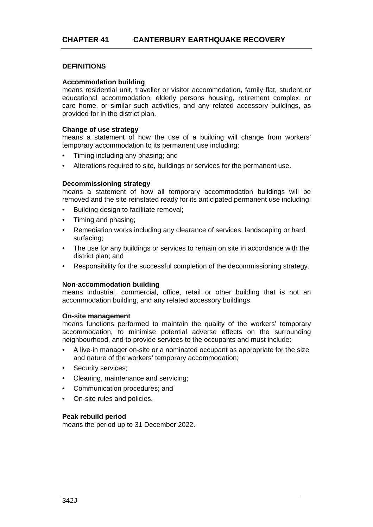# **DEFINITIONS**

#### **Accommodation building**

means residential unit, traveller or visitor accommodation, family flat, student or educational accommodation, elderly persons housing, retirement complex, or care home, or similar such activities, and any related accessory buildings, as provided for in the district plan.

#### **Change of use strategy**

means a statement of how the use of a building will change from workers' temporary accommodation to its permanent use including:

- Timing including any phasing; and
- Alterations required to site, buildings or services for the permanent use.

#### **Decommissioning strategy**

means a statement of how all temporary accommodation buildings will be removed and the site reinstated ready for its anticipated permanent use including:

- Building design to facilitate removal;
- Timing and phasing;
- Remediation works including any clearance of services, landscaping or hard surfacing;
- The use for any buildings or services to remain on site in accordance with the district plan; and
- Responsibility for the successful completion of the decommissioning strategy.

#### **Non-accommodation building**

means industrial, commercial, office, retail or other building that is not an accommodation building, and any related accessory buildings.

#### **On-site management**

means functions performed to maintain the quality of the workers' temporary accommodation, to minimise potential adverse effects on the surrounding neighbourhood, and to provide services to the occupants and must include:

- A live-in manager on-site or a nominated occupant as appropriate for the size and nature of the workers' temporary accommodation;
- Security services:
- Cleaning, maintenance and servicing;
- Communication procedures; and
- On-site rules and policies.

#### **Peak rebuild period**

means the period up to 31 December 2022.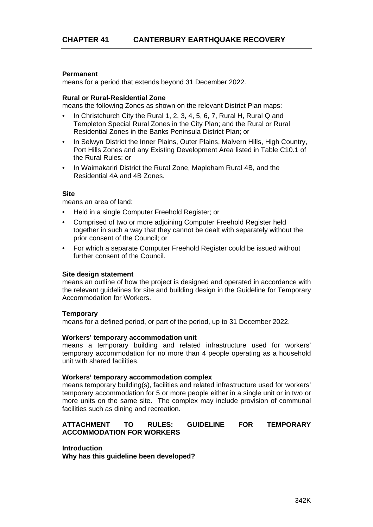# **Permanent**

means for a period that extends beyond 31 December 2022.

#### **Rural or Rural-Residential Zone**

means the following Zones as shown on the relevant District Plan maps:

- In Christchurch City the Rural 1, 2, 3, 4, 5, 6, 7, Rural H, Rural Q and Templeton Special Rural Zones in the City Plan; and the Rural or Rural Residential Zones in the Banks Peninsula District Plan; or
- In Selwyn District the Inner Plains, Outer Plains, Malvern Hills, High Country, Port Hills Zones and any Existing Development Area listed in Table C10.1 of the Rural Rules; or
- In Waimakariri District the Rural Zone, Mapleham Rural 4B, and the Residential 4A and 4B Zones.

#### **Site**

means an area of land:

- Held in a single Computer Freehold Register; or
- Comprised of two or more adjoining Computer Freehold Register held together in such a way that they cannot be dealt with separately without the prior consent of the Council; or
- For which a separate Computer Freehold Register could be issued without further consent of the Council.

#### **Site design statement**

means an outline of how the project is designed and operated in accordance with the relevant guidelines for site and building design in the Guideline for Temporary Accommodation for Workers.

#### **Temporary**

means for a defined period, or part of the period, up to 31 December 2022.

#### **Workers' temporary accommodation unit**

means a temporary building and related infrastructure used for workers' temporary accommodation for no more than 4 people operating as a household unit with shared facilities.

#### **Workers' temporary accommodation complex**

means temporary building(s), facilities and related infrastructure used for workers' temporary accommodation for 5 or more people either in a single unit or in two or more units on the same site. The complex may include provision of communal facilities such as dining and recreation.

## **ATTACHMENT TO RULES: GUIDELINE FOR TEMPORARY ACCOMMODATION FOR WORKERS**

#### **Introduction**

**Why has this guideline been developed?**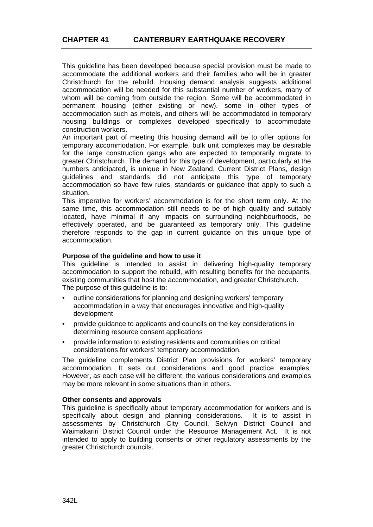This guideline has been developed because special provision must be made to accommodate the additional workers and their families who will be in greater Christchurch for the rebuild. Housing demand analysis suggests additional accommodation will be needed for this substantial number of workers, many of whom will be coming from outside the region. Some will be accommodated in permanent housing (either existing or new), some in other types of accommodation such as motels, and others will be accommodated in temporary housing buildings or complexes developed specifically to accommodate construction workers.

An important part of meeting this housing demand will be to offer options for temporary accommodation. For example, bulk unit complexes may be desirable for the large construction gangs who are expected to temporarily migrate to greater Christchurch. The demand for this type of development, particularly at the numbers anticipated, is unique in New Zealand. Current District Plans, design guidelines and standards did not anticipate this type of temporary accommodation so have few rules, standards or guidance that apply to such a situation.

This imperative for workers' accommodation is for the short term only. At the same time, this accommodation still needs to be of high quality and suitably located, have minimal if any impacts on surrounding neighbourhoods, be effectively operated, and be guaranteed as temporary only. This guideline therefore responds to the gap in current guidance on this unique type of accommodation.

# **Purpose of the guideline and how to use it**

This guideline is intended to assist in delivering high-quality temporary accommodation to support the rebuild, with resulting benefits for the occupants, existing communities that host the accommodation, and greater Christchurch. The purpose of this quideline is to:

- outline considerations for planning and designing workers' temporary accommodation in a way that encourages innovative and high-quality development
- provide guidance to applicants and councils on the key considerations in determining resource consent applications
- provide information to existing residents and communities on critical considerations for workers' temporary accommodation.

The guideline complements District Plan provisions for workers' temporary accommodation. It sets out considerations and good practice examples. However, as each case will be different, the various considerations and examples may be more relevant in some situations than in others.

# **Other consents and approvals**

This guideline is specifically about temporary accommodation for workers and is specifically about design and planning considerations. It is to assist in assessments by Christchurch City Council, Selwyn District Council and Waimakariri District Council under the Resource Management Act. It is not intended to apply to building consents or other regulatory assessments by the greater Christchurch councils.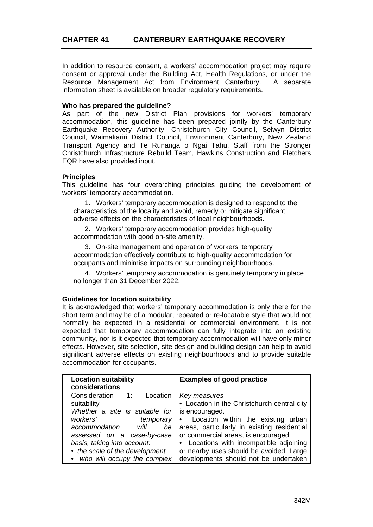In addition to resource consent, a workers' accommodation project may require consent or approval under the Building Act, Health Regulations, or under the Resource Management Act from Environment Canterbury. A separate information sheet is available on broader regulatory requirements.

## **Who has prepared the guideline?**

As part of the new District Plan provisions for workers' temporary accommodation, this guideline has been prepared jointly by the Canterbury Earthquake Recovery Authority, Christchurch City Council, Selwyn District Council, Waimakariri District Council, Environment Canterbury, New Zealand Transport Agency and Te Runanga o Ngai Tahu. Staff from the Stronger Christchurch Infrastructure Rebuild Team, Hawkins Construction and Fletchers EQR have also provided input.

# **Principles**

This guideline has four overarching principles guiding the development of workers' temporary accommodation.

1. Workers' temporary accommodation is designed to respond to the characteristics of the locality and avoid, remedy or mitigate significant adverse effects on the characteristics of local neighbourhoods.

2. Workers' temporary accommodation provides high-quality accommodation with good on-site amenity.

3. On-site management and operation of workers' temporary accommodation effectively contribute to high-quality accommodation for occupants and minimise impacts on surrounding neighbourhoods.

4. Workers' temporary accommodation is genuinely temporary in place no longer than 31 December 2022.

#### **Guidelines for location suitability**

It is acknowledged that workers' temporary accommodation is only there for the short term and may be of a modular, repeated or re-locatable style that would not normally be expected in a residential or commercial environment. It is not expected that temporary accommodation can fully integrate into an existing community, nor is it expected that temporary accommodation will have only minor effects. However, site selection, site design and building design can help to avoid significant adverse effects on existing neighbourhoods and to provide suitable accommodation for occupants.

| <b>Location suitability</b><br>considerations                                                                                                                                                                                                                                          | <b>Examples of good practice</b>                                                                                                                                                                                                                                                                                                           |
|----------------------------------------------------------------------------------------------------------------------------------------------------------------------------------------------------------------------------------------------------------------------------------------|--------------------------------------------------------------------------------------------------------------------------------------------------------------------------------------------------------------------------------------------------------------------------------------------------------------------------------------------|
| Consideration<br>Location<br>$\overline{1}$ :<br>suitability<br>Whether a site is suitable for<br>workers'<br>temporary<br>accommodation<br>will<br>be<br>assessed on a case-by-case<br>basis, taking into account:<br>• the scale of the development<br>• who will occupy the complex | Key measures<br>• Location in the Christchurch central city<br>is encouraged.<br>• Location within the existing urban<br>areas, particularly in existing residential<br>or commercial areas, is encouraged.<br>• Locations with incompatible adjoining<br>or nearby uses should be avoided. Large<br>developments should not be undertaken |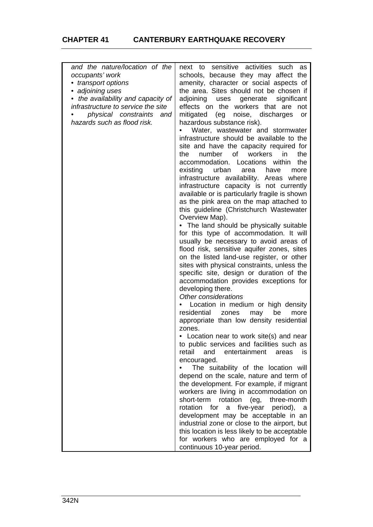# **CHAPTER 41 CANTERBURY EARTHQUAKE RECOVERY**

| and the nature/location of the     | sensitive activities<br>next to<br>such<br>as      |
|------------------------------------|----------------------------------------------------|
| occupants' work                    | schools, because they may affect the               |
| • transport options                | amenity, character or social aspects of            |
| • adjoining uses                   | the area. Sites should not be chosen if            |
| • the availability and capacity of | adjoining<br>significant<br>generate<br>uses       |
| infrastructure to service the site | effects on the workers that are<br>not             |
|                                    |                                                    |
| physical constraints<br>and        | mitigated<br>noise, discharges<br>(eg<br><b>or</b> |
| hazards such as flood risk.        | hazardous substance risk).                         |
|                                    | Water, wastewater and stormwater                   |
|                                    | infrastructure should be available to the          |
|                                    | site and have the capacity required for            |
|                                    | number<br>workers<br>the<br>of<br>in.<br>the       |
|                                    | the                                                |
|                                    | accommodation.<br>Locations within                 |
|                                    | existing<br>urban<br>more<br>area<br>have          |
|                                    | infrastructure availability. Areas where           |
|                                    | infrastructure capacity is not currently           |
|                                    | available or is particularly fragile is shown      |
|                                    | as the pink area on the map attached to            |
|                                    | this guideline (Christchurch Wastewater            |
|                                    | Overview Map).                                     |
|                                    |                                                    |
|                                    | • The land should be physically suitable           |
|                                    | for this type of accommodation. It will            |
|                                    | usually be necessary to avoid areas of             |
|                                    | flood risk, sensitive aquifer zones, sites         |
|                                    | on the listed land-use register, or other          |
|                                    | sites with physical constraints, unless the        |
|                                    | specific site, design or duration of the           |
|                                    | accommodation provides exceptions for              |
|                                    |                                                    |
|                                    | developing there.                                  |
|                                    | Other considerations                               |
|                                    | Location in medium or high density                 |
|                                    | residential<br>may<br>be<br>zones<br>more          |
|                                    | appropriate than low density residential           |
|                                    | zones.                                             |
|                                    | • Location near to work site(s) and near           |
|                                    | to public services and facilities such as          |
|                                    | retail<br>and<br>entertainment<br>is.<br>areas     |
|                                    |                                                    |
|                                    | encouraged.                                        |
|                                    | The suitability of the location will               |
|                                    | depend on the scale, nature and term of            |
|                                    | the development. For example, if migrant           |
|                                    | workers are living in accommodation on             |
|                                    | short-term<br>rotation (eg,<br>three-month         |
|                                    | a five-year<br>rotation for<br>period),<br>a       |
|                                    | development may be acceptable in an                |
|                                    |                                                    |
|                                    | industrial zone or close to the airport, but       |
|                                    | this location is less likely to be acceptable      |
|                                    | for workers who are employed for a                 |
|                                    | continuous 10-year period.                         |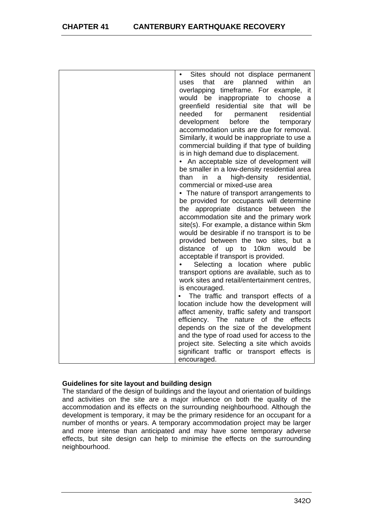# **CHAPTER 41 CANTERBURY EARTHQUAKE RECOVERY**

| Sites should not displace permanent             |
|-------------------------------------------------|
| planned<br>within<br>that<br>are<br>uses<br>an  |
| overlapping timeframe. For example, it          |
| would be inappropriate to choose<br>a           |
| greenfield residential site that will be        |
|                                                 |
| needed<br>for<br>permanent<br>residential       |
| development<br>before<br>the<br>temporary       |
| accommodation units are due for removal.        |
| Similarly, it would be inappropriate to use a   |
| commercial building if that type of building    |
| is in high demand due to displacement.          |
| • An acceptable size of development will        |
| be smaller in a low-density residential area    |
| high-density<br>than<br>in<br>residential,<br>a |
| commercial or mixed-use area                    |
|                                                 |
| • The nature of transport arrangements to       |
| be provided for occupants will determine        |
| the appropriate distance between the            |
| accommodation site and the primary work         |
| site(s). For example, a distance within 5km     |
| would be desirable if no transport is to be     |
| provided between the two sites, but a           |
| 10km would be<br>distance<br>of<br>up<br>to     |
| acceptable if transport is provided.            |
| Selecting a location where public               |
| transport options are available, such as to     |
| work sites and retail/entertainment centres,    |
| is encouraged.                                  |
|                                                 |
| The traffic and transport effects of a          |
| location include how the development will       |
| affect amenity, traffic safety and transport    |
| efficiency. The<br>nature of<br>effects<br>the  |
| depends on the size of the development          |
| and the type of road used for access to the     |
| project site. Selecting a site which avoids     |
| significant traffic or transport effects is     |
| encouraged.                                     |

# **Guidelines for site layout and building design**

The standard of the design of buildings and the layout and orientation of buildings and activities on the site are a major influence on both the quality of the accommodation and its effects on the surrounding neighbourhood. Although the development is temporary, it may be the primary residence for an occupant for a number of months or years. A temporary accommodation project may be larger and more intense than anticipated and may have some temporary adverse effects, but site design can help to minimise the effects on the surrounding neighbourhood.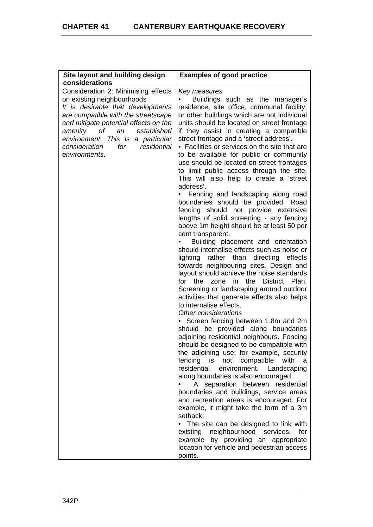| Site layout and building design       | <b>Examples of good practice</b>                  |
|---------------------------------------|---------------------------------------------------|
| considerations                        |                                                   |
| Consideration 2: Minimising effects   | Key measures                                      |
| on existing neighbourhoods            | Buildings such as the manager's                   |
| It is desirable that developments     | residence, site office, communal facility,        |
| are compatible with the streetscape   | or other buildings which are not individual       |
| and mitigate potential effects on the | units should be located on street frontage        |
| оf<br>established<br>amenity<br>an    | if they assist in creating a compatible           |
| environment. This is a particular     | street frontage and a 'street address'.           |
| consideration<br>residential<br>for   | • Facilities or services on the site that are     |
| environments.                         | to be available for public or community           |
|                                       | use should be located on street frontages         |
|                                       | to limit public access through the site.          |
|                                       | This will also help to create a 'street           |
|                                       | address'.                                         |
|                                       | Fencing and landscaping along road                |
|                                       | boundaries should be provided. Road               |
|                                       | fencing should not provide extensive              |
|                                       | lengths of solid screening - any fencing          |
|                                       | above 1m height should be at least 50 per         |
|                                       | cent transparent.                                 |
|                                       | Building placement and orientation                |
|                                       | should internalise effects such as noise or       |
|                                       | lighting rather than directing effects            |
|                                       | towards neighbouring sites. Design and            |
|                                       | layout should achieve the noise standards         |
|                                       | the<br>the<br>in<br>District Plan.<br>for<br>zone |
|                                       | Screening or landscaping around outdoor           |
|                                       | activities that generate effects also helps       |
|                                       | to internalise effects.                           |
|                                       | Other considerations                              |
|                                       | • Screen fencing between 1.8m and 2m              |
|                                       | should be provided along boundaries               |
|                                       | adjoining residential neighbours. Fencing         |
|                                       | should be designed to be compatible with          |
|                                       | the adjoining use; for example, security          |
|                                       | fencing<br>is i<br>not<br>compatible<br>with<br>а |
|                                       | residential<br>environment.<br>Landscaping        |
|                                       | along boundaries is also encouraged.              |
|                                       | A separation between<br>residential               |
|                                       | boundaries and buildings, service areas           |
|                                       | and recreation areas is encouraged. For           |
|                                       | example, it might take the form of a 3m           |
|                                       | setback.                                          |
|                                       | The site can be designed to link with             |
|                                       | existing<br>neighbourhood services,<br>for        |
|                                       | by providing an appropriate<br>example            |
|                                       | location for vehicle and pedestrian access        |
|                                       | points.                                           |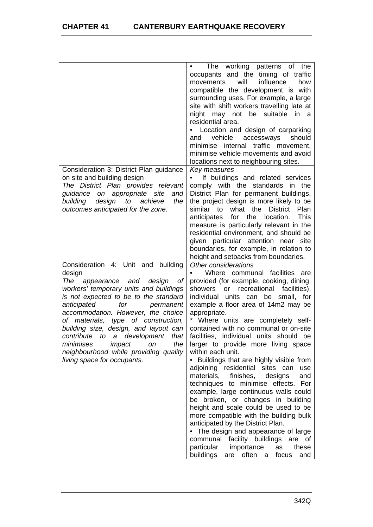|                                            | working<br>patterns of<br>The<br>the                                            |
|--------------------------------------------|---------------------------------------------------------------------------------|
|                                            | occupants and the timing of traffic                                             |
|                                            | will<br>influence<br>movements<br>how                                           |
|                                            | compatible the development is with                                              |
|                                            | surrounding uses. For example, a large                                          |
|                                            | site with shift workers travelling late at                                      |
|                                            | night may not be suitable<br>in a                                               |
|                                            | residential area.                                                               |
|                                            | Location and design of carparking                                               |
|                                            | vehicle<br>should                                                               |
|                                            | accessways<br>and                                                               |
|                                            | internal traffic movement,<br>minimise                                          |
|                                            | minimise vehicle movements and avoid                                            |
|                                            | locations next to neighbouring sites.                                           |
| Consideration 3: District Plan guidance    | Key measures                                                                    |
| on site and building design                | If buildings and related services                                               |
| The District Plan provides relevant        | comply with the standards in the                                                |
| on appropriate site<br>guidance<br>and     | District Plan for permanent buildings,                                          |
| building<br>design<br>to<br>achieve<br>the | the project design is more likely to be                                         |
| outcomes anticipated for the zone.         | similar to<br>what the<br>District<br>Plan                                      |
|                                            | <b>This</b><br>anticipates<br>for the<br>location.                              |
|                                            | measure is particularly relevant in the                                         |
|                                            | residential environment, and should be                                          |
|                                            | given particular attention near site                                            |
|                                            | boundaries, for example, in relation to                                         |
|                                            | height and setbacks from boundaries.                                            |
| Consideration 4: Unit and building         | Other considerations                                                            |
| design                                     | Where communal facilities<br>are                                                |
| The<br>appearance and<br>design<br>Οf      | provided (for example, cooking, dining,                                         |
| workers' temporary units and buildings     | recreational<br>facilities),<br>showers<br>or                                   |
| is not expected to be to the standard      | individual<br>units can<br>be<br>small, for                                     |
| anticipated<br>for<br>permanent            | example a floor area of 14m2 may be                                             |
| accommodation. However, the choice         | appropriate.                                                                    |
| of materials, type of construction,        | Where units are completely self-                                                |
| building size, design, and layout can      | contained with no communal or on-site                                           |
| contribute to a development<br>that        | facilities, individual units should be                                          |
| impact<br>minimises                        | larger to provide more living space                                             |
| the<br>on                                  |                                                                                 |
| neighbourhood while providing quality      | within each unit.                                                               |
| living space for occupants.                |                                                                                 |
|                                            | Buildings that are highly visible from                                          |
|                                            | adjoining residential sites can<br>use                                          |
|                                            | materials,<br>finishes,<br>and<br>designs                                       |
|                                            | techniques to minimise effects.<br>For                                          |
|                                            | example, large continuous walls could                                           |
|                                            | be broken, or changes in building                                               |
|                                            | height and scale could be used to be                                            |
|                                            | more compatible with the building bulk                                          |
|                                            | anticipated by the District Plan.                                               |
|                                            | • The design and appearance of large                                            |
|                                            | communal facility buildings<br>are of                                           |
|                                            | particular<br>importance<br>as<br>these<br>buildings<br>are often<br>focus<br>a |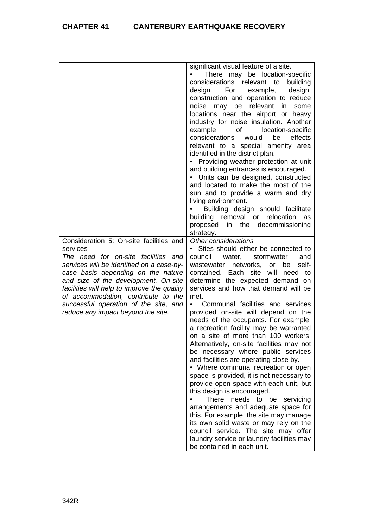|                                             | significant visual feature of a site.                                  |
|---------------------------------------------|------------------------------------------------------------------------|
|                                             | There may be location-specific                                         |
|                                             | considerations relevant to<br>building                                 |
|                                             | design. For<br>design,<br>example,                                     |
|                                             | construction and operation to reduce                                   |
|                                             | noise may be relevant in<br>some                                       |
|                                             | locations near the airport or heavy                                    |
|                                             | industry for noise insulation. Another                                 |
|                                             | of location-specific<br>example                                        |
|                                             | considerations<br>would<br>be<br>effects                               |
|                                             |                                                                        |
|                                             | relevant to a special amenity area<br>identified in the district plan. |
|                                             | • Providing weather protection at unit                                 |
|                                             | and building entrances is encouraged.                                  |
|                                             | • Units can be designed, constructed                                   |
|                                             | and located to make the most of the                                    |
|                                             | sun and to provide a warm and dry                                      |
|                                             | living environment.                                                    |
|                                             | Building design should facilitate                                      |
|                                             | building removal or relocation<br>as                                   |
|                                             | proposed<br>in the decommissioning                                     |
|                                             | strategy.                                                              |
| Consideration 5: On-site facilities and     | Other considerations                                                   |
| services                                    | • Sites should either be connected to                                  |
| The need for on-site facilities and         | council<br>water, stormwater<br>and                                    |
| services will be identified on a case-by-   | wastewater networks, or be<br>self-                                    |
| case basis depending on the nature          | contained. Each site will need<br>to                                   |
| and size of the development. On-site        | determine the expected demand on                                       |
| facilities will help to improve the quality | services and how that demand will be                                   |
| of accommodation, contribute to the         | met.                                                                   |
| successful operation of the site, and       | Communal facilities and services<br>$\bullet$                          |
| reduce any impact beyond the site.          | provided on-site will depend on the                                    |
|                                             | needs of the occupants. For example,                                   |
|                                             | a recreation facility may be warranted                                 |
|                                             | on a site of more than 100 workers.                                    |
|                                             | Alternatively, on-site facilities may not                              |
|                                             | be necessary where public services                                     |
|                                             | and facilities are operating close by.                                 |
|                                             | • Where communal recreation or open                                    |
|                                             | space is provided, it is not necessary to                              |
|                                             | provide open space with each unit, but                                 |
|                                             | this design is encouraged.                                             |
|                                             | There needs to be<br>servicing                                         |
|                                             | arrangements and adequate space for                                    |
|                                             | this. For example, the site may manage                                 |
|                                             | its own solid waste or may rely on the                                 |
|                                             | council service. The site may offer                                    |
|                                             | laundry service or laundry facilities may                              |
|                                             | be contained in each unit.                                             |
|                                             |                                                                        |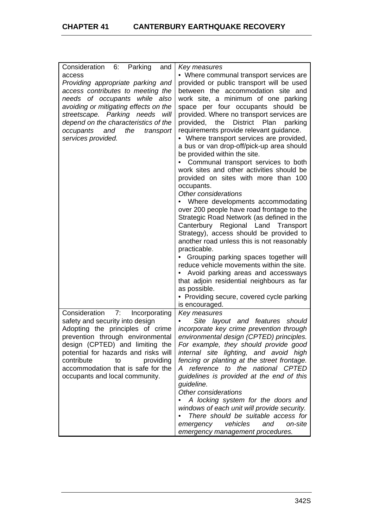| Consideration 6: Parking<br>and       | Key measures                                           |
|---------------------------------------|--------------------------------------------------------|
| access                                | • Where communal transport services are                |
| Providing appropriate parking and     | provided or public transport will be used              |
| access contributes to meeting the     | between the accommodation site and                     |
| needs of occupants while also         | work site, a minimum of one parking                    |
| avoiding or mitigating effects on the | space per four occupants should be                     |
| will                                  | provided. Where no transport services are              |
| streetscape. Parking needs            |                                                        |
| depend on the characteristics of the  | <b>District</b><br>provided,<br>the<br>Plan<br>parking |
| occupants<br>and<br>the<br>transport  | requirements provide relevant guidance.                |
| services provided.                    | • Where transport services are provided,               |
|                                       | a bus or van drop-off/pick-up area should              |
|                                       | be provided within the site.                           |
|                                       | Communal transport services to both                    |
|                                       | work sites and other activities should be              |
|                                       | provided on sites with more than 100                   |
|                                       | occupants.                                             |
|                                       | Other considerations                                   |
|                                       | Where developments accommodating                       |
|                                       | over 200 people have road frontage to the              |
|                                       | Strategic Road Network (as defined in the              |
|                                       | Canterbury Regional Land Transport                     |
|                                       | Strategy), access should be provided to                |
|                                       | another road unless this is not reasonably             |
|                                       | practicable.                                           |
|                                       | Grouping parking spaces together will                  |
|                                       | reduce vehicle movements within the site.              |
|                                       | Avoid parking areas and accessways                     |
|                                       | that adjoin residential neighbours as far              |
|                                       | as possible.                                           |
|                                       | • Providing secure, covered cycle parking              |
|                                       | is encouraged.                                         |
| Consideration<br>7:<br>Incorporating  | Key measures                                           |
| safety and security into design       | Site layout and features<br>should                     |
| Adopting the principles of crime      | incorporate key crime prevention through               |
| prevention through environmental      | environmental design (CPTED) principles.               |
| design (CPTED) and limiting the       | For example, they should provide good                  |
| potential for hazards and risks will  | internal site lighting, and avoid high                 |
| contribute<br>providing<br>to         | fencing or planting at the street frontage.            |
| accommodation that is safe for the    | A reference to the national CPTED                      |
| occupants and local community.        | guidelines is provided at the end of this              |
|                                       | guideline.                                             |
|                                       | Other considerations                                   |
|                                       | A locking system for the doors and                     |
|                                       |                                                        |
|                                       | windows of each unit will provide security.            |
|                                       | There should be suitable access for                    |
|                                       | vehicles<br>and<br>on-site<br>emergency                |
|                                       | emergency management procedures.                       |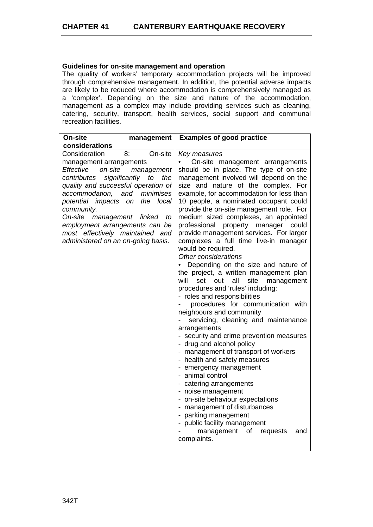# **Guidelines for on-site management and operation**

The quality of workers' temporary accommodation projects will be improved through comprehensive management. In addition, the potential adverse impacts are likely to be reduced where accommodation is comprehensively managed as a 'complex'. Depending on the size and nature of the accommodation, management as a complex may include providing services such as cleaning, catering, security, transport, health services, social support and communal recreation facilities.

| On-site                                                                                                                                                                                                                                                                                                         | management                                                                                                          | <b>Examples of good practice</b>                                                                                                                                                                                                                                                                                                                                                                                                                                                                                                                                                                                                                                                                                                                                                                                                                                                                                                                                                                                                                                                                                                                                                                                                                                                                                |
|-----------------------------------------------------------------------------------------------------------------------------------------------------------------------------------------------------------------------------------------------------------------------------------------------------------------|---------------------------------------------------------------------------------------------------------------------|-----------------------------------------------------------------------------------------------------------------------------------------------------------------------------------------------------------------------------------------------------------------------------------------------------------------------------------------------------------------------------------------------------------------------------------------------------------------------------------------------------------------------------------------------------------------------------------------------------------------------------------------------------------------------------------------------------------------------------------------------------------------------------------------------------------------------------------------------------------------------------------------------------------------------------------------------------------------------------------------------------------------------------------------------------------------------------------------------------------------------------------------------------------------------------------------------------------------------------------------------------------------------------------------------------------------|
| considerations                                                                                                                                                                                                                                                                                                  |                                                                                                                     |                                                                                                                                                                                                                                                                                                                                                                                                                                                                                                                                                                                                                                                                                                                                                                                                                                                                                                                                                                                                                                                                                                                                                                                                                                                                                                                 |
| Consideration<br>management arrangements<br>Effective<br>on-site<br>contributes<br>quality and successful operation of<br>accommodation,<br>potential impacts<br>community.<br>On-site<br>management<br>employment arrangements can be<br>most effectively maintained and<br>administered on an on-going basis. | On-site<br>8:<br>management<br>significantly<br>the<br>to<br>and<br>minimises<br>the<br>local<br>on<br>linked<br>to | Key measures<br>On-site management arrangements<br>should be in place. The type of on-site<br>management involved will depend on the<br>size and nature of the complex. For<br>example, for accommodation for less than<br>10 people, a nominated occupant could<br>provide the on-site management role. For<br>medium sized complexes, an appointed<br>professional property manager<br>could<br>provide management services. For larger<br>complexes a full time live-in manager<br>would be required.<br>Other considerations<br>Depending on the size and nature of<br>the project, a written management plan<br>will<br>set out<br>all<br>site<br>management<br>procedures and 'rules' including:<br>- roles and responsibilities<br>procedures for communication with<br>neighbours and community<br>servicing, cleaning and maintenance<br>$\blacksquare$<br>arrangements<br>- security and crime prevention measures<br>- drug and alcohol policy<br>- management of transport of workers<br>- health and safety measures<br>- emergency management<br>- animal control<br>- catering arrangements<br>- noise management<br>- on-site behaviour expectations<br>- management of disturbances<br>- parking management<br>- public facility management<br>management<br>of requests<br>and<br>complaints. |
|                                                                                                                                                                                                                                                                                                                 |                                                                                                                     |                                                                                                                                                                                                                                                                                                                                                                                                                                                                                                                                                                                                                                                                                                                                                                                                                                                                                                                                                                                                                                                                                                                                                                                                                                                                                                                 |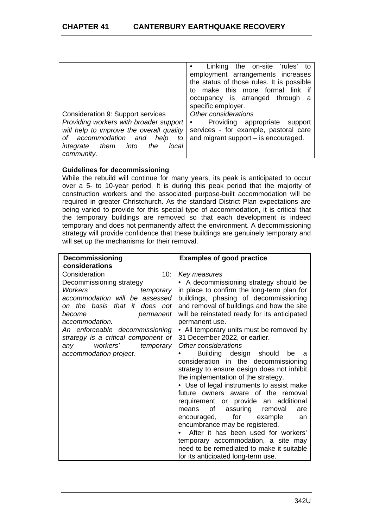|                                                                                                                                                                                                                              | Linking the on-site 'rules' to<br>$\bullet$<br>employment arrangements increases<br>the status of those rules. It is possible<br>make this more formal link<br>t٥<br>occupancy is arranged through a<br>specific employer. |
|------------------------------------------------------------------------------------------------------------------------------------------------------------------------------------------------------------------------------|----------------------------------------------------------------------------------------------------------------------------------------------------------------------------------------------------------------------------|
| Consideration 9: Support services<br>Providing workers with broader support<br>will help to improve the overall quality<br>of accommodation and<br>help<br>to<br><i>integrate them</i><br>into<br>the<br>local<br>community. | Other considerations<br>Providing appropriate support<br>٠<br>services - for example, pastoral care<br>and migrant support $-$ is encouraged.                                                                              |

# **Guidelines for decommissioning**

While the rebuild will continue for many years, its peak is anticipated to occur over a 5- to 10-year period. It is during this peak period that the majority of construction workers and the associated purpose-built accommodation will be required in greater Christchurch. As the standard District Plan expectations are being varied to provide for this special type of accommodation, it is critical that the temporary buildings are removed so that each development is indeed temporary and does not permanently affect the environment. A decommissioning strategy will provide confidence that these buildings are genuinely temporary and will set up the mechanisms for their removal.

| <b>Decommissioning</b>              | <b>Examples of good practice</b>             |
|-------------------------------------|----------------------------------------------|
| considerations                      |                                              |
| 10:<br>Consideration                | Key measures                                 |
| Decommissioning strategy            | • A decommissioning strategy should be       |
| Workers'<br>temporary               | in place to confirm the long-term plan for   |
| accommodation will be assessed      | buildings, phasing of decommissioning        |
| on the basis that it does not       | and removal of buildings and how the site    |
| permanent<br>become                 | will be reinstated ready for its anticipated |
| accommodation.                      | permanent use.                               |
| An enforceable decommissioning      | • All temporary units must be removed by     |
| strategy is a critical component of | 31 December 2022, or earlier.                |
| workers'<br>temporary<br>any        | Other considerations                         |
| accommodation project.              | Building design should<br>be<br>a            |
|                                     | consideration in the decommissioning         |
|                                     | strategy to ensure design does not inhibit   |
|                                     | the implementation of the strategy.          |
|                                     | • Use of legal instruments to assist make    |
|                                     | future owners aware of the removal           |
|                                     | requirement or provide an additional         |
|                                     | of assuring removal<br>means<br>are          |
|                                     | encouraged, for example<br>an                |
|                                     | encumbrance may be registered.               |
|                                     | After it has been used for workers'          |
|                                     | temporary accommodation, a site may          |
|                                     | need to be remediated to make it suitable    |
|                                     | for its anticipated long-term use.           |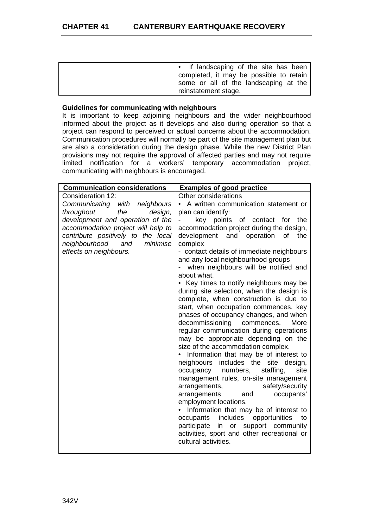| • If landscaping of the site has been  <br>completed, it may be possible to retain<br>some or all of the landscaping at the<br>reinstatement stage. |
|-----------------------------------------------------------------------------------------------------------------------------------------------------|
|-----------------------------------------------------------------------------------------------------------------------------------------------------|

## **Guidelines for communicating with neighbours**

It is important to keep adjoining neighbours and the wider neighbourhood informed about the project as it develops and also during operation so that a project can respond to perceived or actual concerns about the accommodation. Communication procedures will normally be part of the site management plan but are also a consideration during the design phase. While the new District Plan provisions may not require the approval of affected parties and may not require limited notification for a workers' temporary accommodation project, communicating with neighbours is encouraged.

| <b>Communication considerations</b> | <b>Examples of good practice</b>                                              |
|-------------------------------------|-------------------------------------------------------------------------------|
| Consideration 12:                   | Other considerations                                                          |
| Communicating with neighbours       | • A written communication statement or                                        |
| the<br>design,<br>throughout        | plan can identify:                                                            |
| development and operation of the    | key points<br>of contact<br>the<br>for                                        |
| accommodation project will help to  | accommodation project during the design,                                      |
| contribute positively to the local  | development<br>and<br>operation<br>οf<br>the                                  |
| neighbourhood<br>and<br>minimise    | complex                                                                       |
| effects on neighbours.              | - contact details of immediate neighbours                                     |
|                                     | and any local neighbourhood groups                                            |
|                                     | when neighbours will be notified and<br>about what.                           |
|                                     | • Key times to notify neighbours may be                                       |
|                                     | during site selection, when the design is                                     |
|                                     | complete, when construction is due to                                         |
|                                     | start, when occupation commences, key                                         |
|                                     | phases of occupancy changes, and when                                         |
|                                     | decommissioning commences.<br>More                                            |
|                                     | regular communication during operations                                       |
|                                     | may be appropriate depending on the                                           |
|                                     | size of the accommodation complex.                                            |
|                                     | • Information that may be of interest to                                      |
|                                     | neighbours includes the<br>site<br>design,                                    |
|                                     | staffing,<br>occupancy numbers,<br>site                                       |
|                                     | management rules, on-site management                                          |
|                                     | safety/security<br>arrangements,                                              |
|                                     | arrangements<br>and<br>occupants'                                             |
|                                     | employment locations.                                                         |
|                                     | • Information that may be of interest to<br>to                                |
|                                     | occupants includes<br>opportunities<br>participate<br>in or support community |
|                                     | activities, sport and other recreational or                                   |
|                                     | cultural activities.                                                          |
|                                     |                                                                               |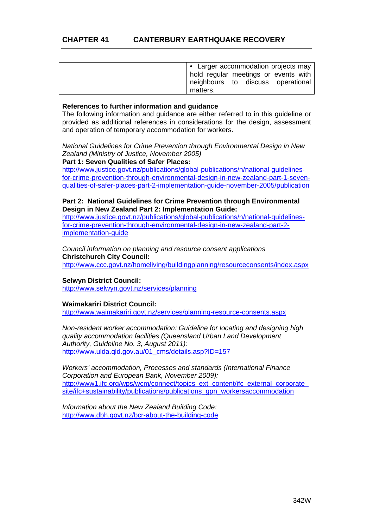| • Larger accommodation projects may<br>hold regular meetings or events with |
|-----------------------------------------------------------------------------|
| neighbours to discuss operational<br>matters.                               |

#### **References to further information and guidance**

The following information and guidance are either referred to in this guideline or provided as additional references in considerations for the design, assessment and operation of temporary accommodation for workers.

*National Guidelines for Crime Prevention through Environmental Design in New Zealand (Ministry of Justice, November 2005)* 

#### **Part 1: Seven Qualities of Safer Places:**

http://www.justice.govt.nz/publications/global-publications/n/national-guidelinesfor-crime-prevention-through-environmental-design-in-new-zealand-part-1-sevenqualities-of-safer-places-part-2-implementation-guide-november-2005/publication

## **Part 2: National Guidelines for Crime Prevention through Environmental Design in New Zealand Part 2: Implementation Guide:**

http://www.justice.govt.nz/publications/global-publications/n/national-guidelinesfor-crime-prevention-through-environmental-design-in-new-zealand-part-2 implementation-guide

*Council information on planning and resource consent applications*  **Christchurch City Council:** 

http://www.ccc.govt.nz/homeliving/buildingplanning/resourceconsents/index.aspx

# **Selwyn District Council:**

http://www.selwyn.govt.nz/services/planning

# **Waimakariri District Council:**

http://www.waimakariri.govt.nz/services/planning-resource-consents.aspx

*Non-resident worker accommodation: Guideline for locating and designing high quality accommodation facilities (Queensland Urban Land Development Authority, Guideline No. 3, August 2011):* http://www.ulda.qld.gov.au/01\_cms/details.asp?ID=157

*Workers' accommodation, Processes and standards (International Finance Corporation and European Bank, November 2009):*  http://www1.ifc.org/wps/wcm/connect/topics\_ext\_content/ifc\_external\_corporate\_ site/ifc+sustainability/publications/publications\_gpn\_workersaccommodation

*Information about the New Zealand Building Code:*  http://www.dbh.govt.nz/bcr-about-the-building-code